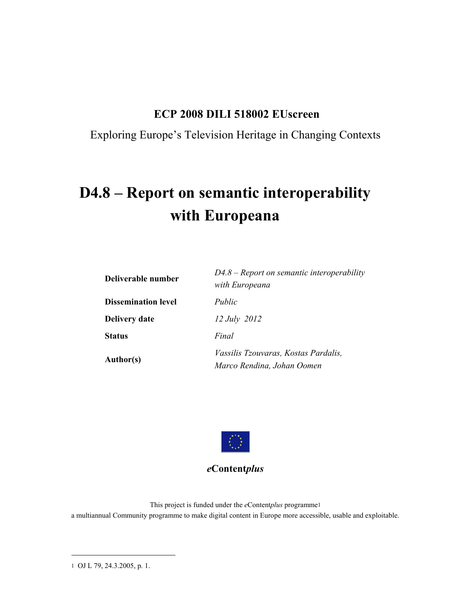### **ECP 2008 DILI 518002 EUscreen**

Exploring Europe's Television Heritage in Changing Contexts

# **D4.8 – Report on semantic interoperability with Europeana**

| Deliverable number         | $D4.8$ – Report on semantic interoperability<br>with Europeana     |  |
|----------------------------|--------------------------------------------------------------------|--|
| <b>Dissemination level</b> | Public                                                             |  |
| <b>Delivery date</b>       | 12 July 2012                                                       |  |
| <b>Status</b>              | Final                                                              |  |
| Author(s)                  | Vassilis Tzouvaras, Kostas Pardalis,<br>Marco Rendina, Johan Oomen |  |



#### *e***Content***plus*

This project is funded under the *e*Content*plus* programme1 a multiannual Community programme to make digital content in Europe more accessible, usable and exploitable.

l

<sup>1</sup> OJ L 79, 24.3.2005, p. 1.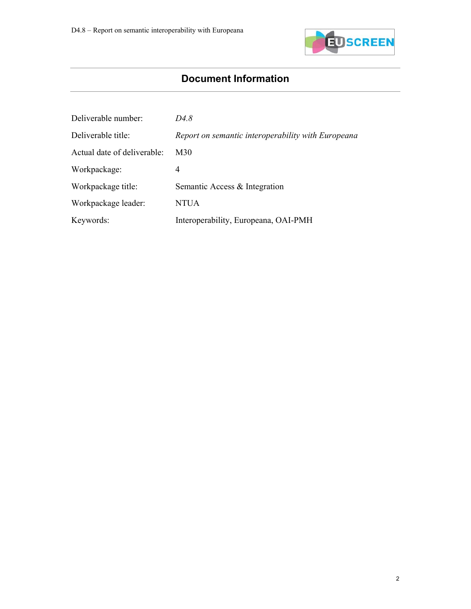

# **Document Information**

| Deliverable number:         | D4.8                                               |
|-----------------------------|----------------------------------------------------|
| Deliverable title:          | Report on semantic interoperability with Europeana |
| Actual date of deliverable: | M30                                                |
| Workpackage:                | 4                                                  |
| Workpackage title:          | Semantic Access & Integration                      |
| Workpackage leader:         | <b>NTUA</b>                                        |
| Keywords:                   | Interoperability, Europeana, OAI-PMH               |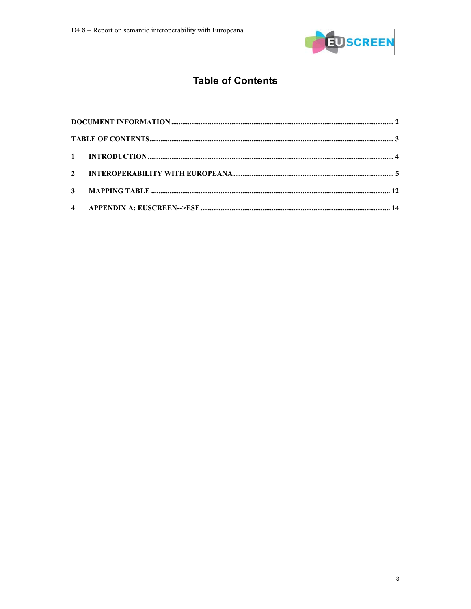

## **Table of Contents**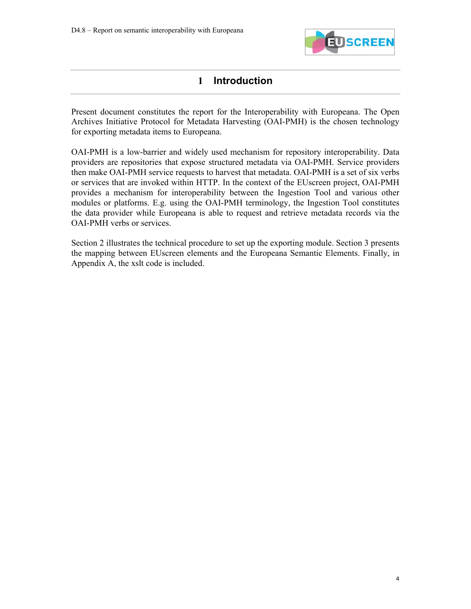

#### **1 Introduction**

Present document constitutes the report for the Interoperability with Europeana. The Open Archives Initiative Protocol for Metadata Harvesting (OAI-PMH) is the chosen technology for exporting metadata items to Europeana.

OAI-PMH is a low-barrier and widely used mechanism for repository interoperability. Data providers are repositories that expose structured metadata via OAI-PMH. Service providers then make OAI-PMH service requests to harvest that metadata. OAI-PMH is a set of six verbs or services that are invoked within HTTP. In the context of the EUscreen project, OAI-PMH provides a mechanism for interoperability between the Ingestion Tool and various other modules or platforms. E.g. using the OAI-PMH terminology, the Ingestion Tool constitutes the data provider while Europeana is able to request and retrieve metadata records via the OAI-PMH verbs or services.

Section 2 illustrates the technical procedure to set up the exporting module. Section 3 presents the mapping between EUscreen elements and the Europeana Semantic Elements. Finally, in Appendix A, the xslt code is included.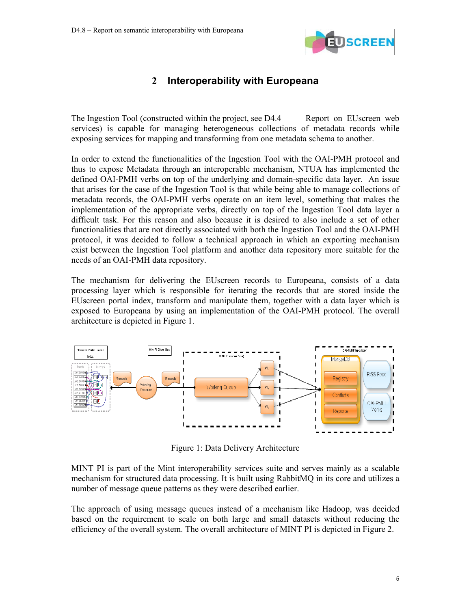

#### **2 Interoperability with Europeana**

The Ingestion Tool (constructed within the project, see D4.4 Report on EUscreen web services) is capable for managing heterogeneous collections of metadata records while exposing services for mapping and transforming from one metadata schema to another.

In order to extend the functionalities of the Ingestion Tool with the OAI-PMH protocol and thus to expose Metadata through an interoperable mechanism, NTUA has implemented the defined OAI-PMH verbs on top of the underlying and domain-specific data layer. An issue that arises for the case of the Ingestion Tool is that while being able to manage collections of metadata records, the OAI-PMH verbs operate on an item level, something that makes the implementation of the appropriate verbs, directly on top of the Ingestion Tool data layer a difficult task. For this reason and also because it is desired to also include a set of other functionalities that are not directly associated with both the Ingestion Tool and the OAI-PMH protocol, it was decided to follow a technical approach in which an exporting mechanism exist between the Ingestion Tool platform and another data repository more suitable for the needs of an OAI-PMH data repository.

The mechanism for delivering the EUscreen records to Europeana, consists of a data processing layer which is responsible for iterating the records that are stored inside the EUscreen portal index, transform and manipulate them, together with a data layer which is exposed to Europeana by using an implementation of the OAI-PMH protocol. The overall architecture is depicted in Figure 1.



Figure 1: Data Delivery Architecture

MINT PI is part of the Mint interoperability services suite and serves mainly as a scalable mechanism for structured data processing. It is built using RabbitMQ in its core and utilizes a number of message queue patterns as they were described earlier.

The approach of using message queues instead of a mechanism like Hadoop, was decided based on the requirement to scale on both large and small datasets without reducing the efficiency of the overall system. The overall architecture of MINT PI is depicted in Figure 2.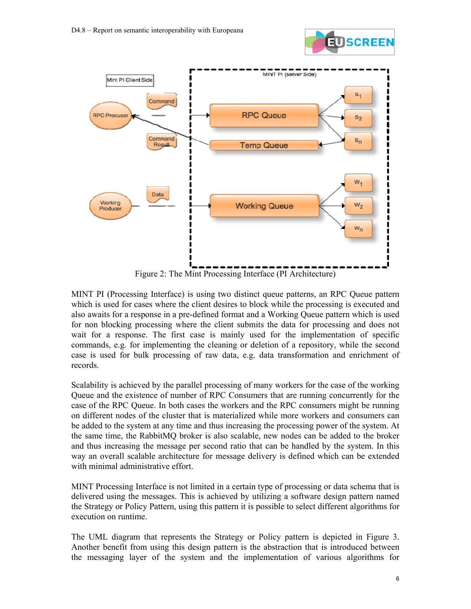



Figure 2: The Mint Processing Interface (PI Architecture)

MINT PI (Processing Interface) is using two distinct queue patterns, an RPC Queue pattern which is used for cases where the client desires to block while the processing is executed and also awaits for a response in a pre-defined format and a Working Queue pattern which is used for non blocking processing where the client submits the data for processing and does not wait for a response. The first case is mainly used for the implementation of specific commands, e.g. for implementing the cleaning or deletion of a repository, while the second case is used for bulk processing of raw data, e.g. data transformation and enrichment of records.

Scalability is achieved by the parallel processing of many workers for the case of the working Queue and the existence of number of RPC Consumers that are running concurrently for the case of the RPC Queue. In both cases the workers and the RPC consumers might be running on different nodes of the cluster that is materialized while more workers and consumers can be added to the system at any time and thus increasing the processing power of the system. At the same time, the RabbitMQ broker is also scalable, new nodes can be added to the broker and thus increasing the message per second ratio that can be handled by the system. In this way an overall scalable architecture for message delivery is defined which can be extended with minimal administrative effort.

MINT Processing Interface is not limited in a certain type of processing or data schema that is delivered using the messages. This is achieved by utilizing a software design pattern named the Strategy or Policy Pattern, using this pattern it is possible to select different algorithms for execution on runtime.

The UML diagram that represents the Strategy or Policy pattern is depicted in Figure 3. Another benefit from using this design pattern is the abstraction that is introduced between the messaging layer of the system and the implementation of various algorithms for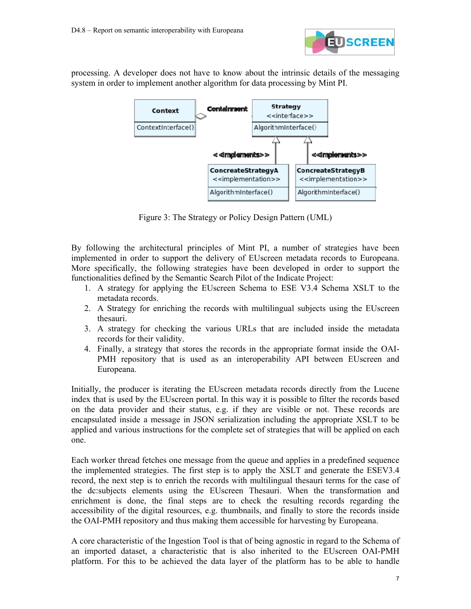

processing. A developer does not have to know about the intrinsic details of the messaging system in order to implement another algorithm for data processing by Mint PI.



Figure 3: The Strategy or Policy Design Pattern (UML)

By following the architectural principles of Mint PI, a number of strategies have been implemented in order to support the delivery of EUscreen metadata records to Europeana. More specifically, the following strategies have been developed in order to support the functionalities defined by the Semantic Search Pilot of the Indicate Project:

- 1. A strategy for applying the EUscreen Schema to ESE V3.4 Schema XSLT to the metadata records.
- 2. A Strategy for enriching the records with multilingual subjects using the EUscreen thesauri.
- 3. A strategy for checking the various URLs that are included inside the metadata records for their validity.
- 4. Finally, a strategy that stores the records in the appropriate format inside the OAI-PMH repository that is used as an interoperability API between EUscreen and Europeana.

Initially, the producer is iterating the EUscreen metadata records directly from the Lucene index that is used by the EUscreen portal. In this way it is possible to filter the records based on the data provider and their status, e.g. if they are visible or not. These records are encapsulated inside a message in JSON serialization including the appropriate XSLT to be applied and various instructions for the complete set of strategies that will be applied on each one.

Each worker thread fetches one message from the queue and applies in a predefined sequence the implemented strategies. The first step is to apply the XSLT and generate the ESEV3.4 record, the next step is to enrich the records with multilingual thesauri terms for the case of the dc:subjects elements using the EUscreen Thesauri. When the transformation and enrichment is done, the final steps are to check the resulting records regarding the accessibility of the digital resources, e.g. thumbnails, and finally to store the records inside the OAI-PMH repository and thus making them accessible for harvesting by Europeana.

A core characteristic of the Ingestion Tool is that of being agnostic in regard to the Schema of an imported dataset, a characteristic that is also inherited to the EUscreen OAI-PMH platform. For this to be achieved the data layer of the platform has to be able to handle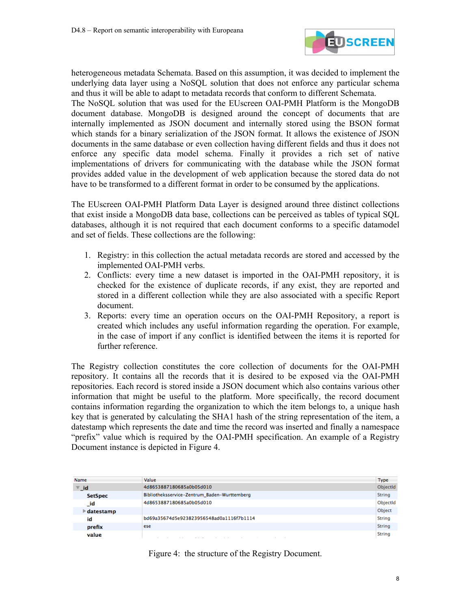

heterogeneous metadata Schemata. Based on this assumption, it was decided to implement the underlying data layer using a NoSQL solution that does not enforce any particular schema and thus it will be able to adapt to metadata records that conform to different Schemata.

The NoSQL solution that was used for the EUscreen OAI-PMH Platform is the MongoDB document database. MongoDB is designed around the concept of documents that are internally implemented as JSON document and internally stored using the BSON format which stands for a binary serialization of the JSON format. It allows the existence of JSON documents in the same database or even collection having different fields and thus it does not enforce any specific data model schema. Finally it provides a rich set of native implementations of drivers for communicating with the database while the JSON format provides added value in the development of web application because the stored data do not have to be transformed to a different format in order to be consumed by the applications.

The EUscreen OAI-PMH Platform Data Layer is designed around three distinct collections that exist inside a MongoDB data base, collections can be perceived as tables of typical SQL databases, although it is not required that each document conforms to a specific datamodel and set of fields. These collections are the following:

- 1. Registry: in this collection the actual metadata records are stored and accessed by the implemented OAI-PMH verbs.
- 2. Conflicts: every time a new dataset is imported in the OAI-PMH repository, it is checked for the existence of duplicate records, if any exist, they are reported and stored in a different collection while they are also associated with a specific Report document.
- 3. Reports: every time an operation occurs on the OAI-PMH Repository, a report is created which includes any useful information regarding the operation. For example, in the case of import if any conflict is identified between the items it is reported for further reference.

The Registry collection constitutes the core collection of documents for the OAI-PMH repository. It contains all the records that it is desired to be exposed via the OAI-PMH repositories. Each record is stored inside a JSON document which also contains various other information that might be useful to the platform. More specifically, the record document contains information regarding the organization to which the item belongs to, a unique hash key that is generated by calculating the SHA1 hash of the string representation of the item, a datestamp which represents the date and time the record was inserted and finally a namespace "prefix" value which is required by the OAI-PMH specification. An example of a Registry Document instance is depicted in Figure 4.

| Name                            | Value                                        | <b>Type</b>   |
|---------------------------------|----------------------------------------------|---------------|
| $\overline{\mathbf{v}}$ id      | 4d8653887180685a0b05d010                     | ObjectId      |
| <b>SetSpec</b>                  | Bibliotheksservice-Zentrum_Baden-Wurttemberg | <b>String</b> |
| _id                             | 4d8653887180685a0b05d010                     | ObjectId      |
| $\blacktriangleright$ datestamp |                                              | Object        |
| id                              | bd69a35674d5e923823956548ad0a1116f7b1114     | <b>String</b> |
| prefix                          | ese                                          | <b>String</b> |
| value                           |                                              | <b>String</b> |

Figure 4: the structure of the Registry Document.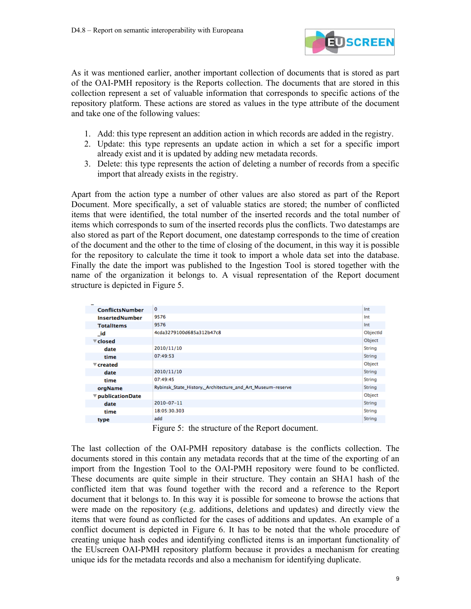

As it was mentioned earlier, another important collection of documents that is stored as part of the OAI-PMH repository is the Reports collection. The documents that are stored in this collection represent a set of valuable information that corresponds to specific actions of the repository platform. These actions are stored as values in the type attribute of the document and take one of the following values:

- 1. Add: this type represent an addition action in which records are added in the registry.
- 2. Update: this type represents an update action in which a set for a specific import already exist and it is updated by adding new metadata records.
- 3. Delete: this type represents the action of deleting a number of records from a specific import that already exists in the registry.

Apart from the action type a number of other values are also stored as part of the Report Document. More specifically, a set of valuable statics are stored; the number of conflicted items that were identified, the total number of the inserted records and the total number of items which corresponds to sum of the inserted records plus the conflicts. Two datestamps are also stored as part of the Report document, one datestamp corresponds to the time of creation of the document and the other to the time of closing of the document, in this way it is possible for the repository to calculate the time it took to import a whole data set into the database. Finally the date the import was published to the Ingestion Tool is stored together with the name of the organization it belongs to. A visual representation of the Report document structure is depicted in Figure 5.

| <b>ConflictsNumber</b>          | 0                                                          | Int           |
|---------------------------------|------------------------------------------------------------|---------------|
| <b>InsertedNumber</b>           | 9576                                                       | Int           |
| <b>TotalItems</b>               | 9576                                                       | Int           |
| - id                            | 4cda3279100d685a312b47c8                                   | ObjectId      |
| $\blacktriangledown$ closed     |                                                            | Object        |
| date                            | 2010/11/10                                                 | <b>String</b> |
| time                            | 07:49:53                                                   | <b>String</b> |
| $\overline{\mathbf{v}}$ created |                                                            | Object        |
| date                            | 2010/11/10                                                 | <b>String</b> |
| time                            | 07:49:45                                                   | <b>String</b> |
| orgName                         | Rybinsk State History, Architecture and Art Museum-reserve | <b>String</b> |
| ▼ publicationDate               |                                                            | Object        |
| date                            | 2010-07-11                                                 | <b>String</b> |
| time                            | 18:05:30.303                                               | <b>String</b> |
| type                            | add                                                        | <b>String</b> |
|                                 |                                                            |               |

Figure 5: the structure of the Report document.

The last collection of the OAI-PMH repository database is the conflicts collection. The documents stored in this contain any metadata records that at the time of the exporting of an import from the Ingestion Tool to the OAI-PMH repository were found to be conflicted. These documents are quite simple in their structure. They contain an SHA1 hash of the conflicted item that was found together with the record and a reference to the Report document that it belongs to. In this way it is possible for someone to browse the actions that were made on the repository (e.g. additions, deletions and updates) and directly view the items that were found as conflicted for the cases of additions and updates. An example of a conflict document is depicted in Figure 6. It has to be noted that the whole procedure of creating unique hash codes and identifying conflicted items is an important functionality of the EUscreen OAI-PMH repository platform because it provides a mechanism for creating unique ids for the metadata records and also a mechanism for identifying duplicate.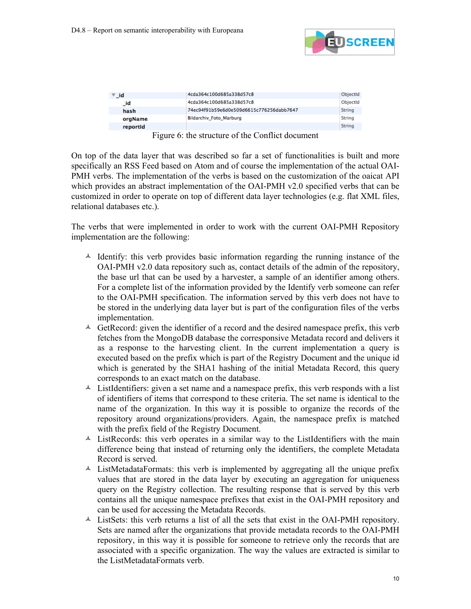

| ⊽ id     | 4cda364c100d685a338d57c8                 | ObjectId      |
|----------|------------------------------------------|---------------|
| _id      | 4cda364c100d685a338d57c8                 | ObjectId      |
| hash     | 74ec94f91b59e6d0e509d6615c776256dabb7647 | <b>String</b> |
| orgName  | <b>Bildarchiv Foto Marburg</b>           | <b>String</b> |
| reportid |                                          | <b>String</b> |

Figure 6: the structure of the Conflict document

On top of the data layer that was described so far a set of functionalities is built and more specifically an RSS Feed based on Atom and of course the implementation of the actual OAI-PMH verbs. The implementation of the verbs is based on the customization of the oaicat API which provides an abstract implementation of the OAI-PMH v2.0 specified verbs that can be customized in order to operate on top of different data layer technologies (e.g. flat XML files, relational databases etc.).

The verbs that were implemented in order to work with the current OAI-PMH Repository implementation are the following:

- $\triangle$  Identify: this verb provides basic information regarding the running instance of the OAI-PMH v2.0 data repository such as, contact details of the admin of the repository, the base url that can be used by a harvester, a sample of an identifier among others. For a complete list of the information provided by the Identify verb someone can refer to the OAI-PMH specification. The information served by this verb does not have to be stored in the underlying data layer but is part of the configuration files of the verbs implementation.
- $\triangle$  GetRecord: given the identifier of a record and the desired namespace prefix, this verb fetches from the MongoDB database the corresponsive Metadata record and delivers it as a response to the harvesting client. In the current implementation a query is executed based on the prefix which is part of the Registry Document and the unique id which is generated by the SHA1 hashing of the initial Metadata Record, this query corresponds to an exact match on the database.
- $\triangle$  ListIdentifiers: given a set name and a namespace prefix, this verb responds with a list of identifiers of items that correspond to these criteria. The set name is identical to the name of the organization. In this way it is possible to organize the records of the repository around organizations/providers. Again, the namespace prefix is matched with the prefix field of the Registry Document.
- $\triangle$  ListRecords: this verb operates in a similar way to the ListIdentifiers with the main difference being that instead of returning only the identifiers, the complete Metadata Record is served.
- $\triangle$  ListMetadataFormats: this verb is implemented by aggregating all the unique prefix values that are stored in the data layer by executing an aggregation for uniqueness query on the Registry collection. The resulting response that is served by this verb contains all the unique namespace prefixes that exist in the OAI-PMH repository and can be used for accessing the Metadata Records.
- ListSets: this verb returns a list of all the sets that exist in the OAI-PMH repository. Sets are named after the organizations that provide metadata records to the OAI-PMH repository, in this way it is possible for someone to retrieve only the records that are associated with a specific organization. The way the values are extracted is similar to the ListMetadataFormats verb.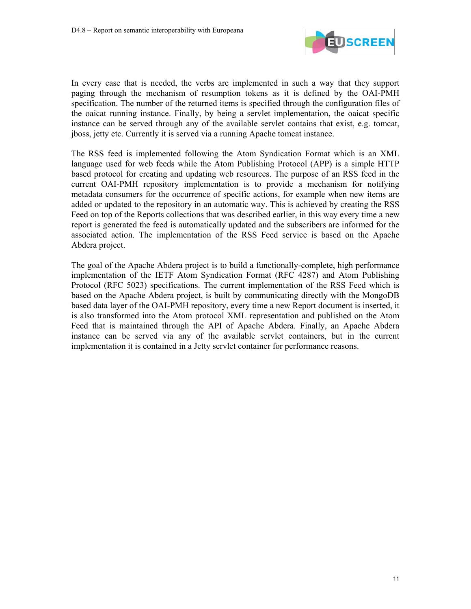

In every case that is needed, the verbs are implemented in such a way that they support paging through the mechanism of resumption tokens as it is defined by the OAI-PMH specification. The number of the returned items is specified through the configuration files of the oaicat running instance. Finally, by being a servlet implementation, the oaicat specific instance can be served through any of the available servlet contains that exist, e.g. tomcat, jboss, jetty etc. Currently it is served via a running Apache tomcat instance.

The RSS feed is implemented following the Atom Syndication Format which is an XML language used for web feeds while the Atom Publishing Protocol (APP) is a simple HTTP based protocol for creating and updating web resources. The purpose of an RSS feed in the current OAI-PMH repository implementation is to provide a mechanism for notifying metadata consumers for the occurrence of specific actions, for example when new items are added or updated to the repository in an automatic way. This is achieved by creating the RSS Feed on top of the Reports collections that was described earlier, in this way every time a new report is generated the feed is automatically updated and the subscribers are informed for the associated action. The implementation of the RSS Feed service is based on the Apache Abdera project.

The goal of the Apache Abdera project is to build a functionally-complete, high performance implementation of the IETF Atom Syndication Format (RFC 4287) and Atom Publishing Protocol (RFC 5023) specifications. The current implementation of the RSS Feed which is based on the Apache Abdera project, is built by communicating directly with the MongoDB based data layer of the OAI-PMH repository, every time a new Report document is inserted, it is also transformed into the Atom protocol XML representation and published on the Atom Feed that is maintained through the API of Apache Abdera. Finally, an Apache Abdera instance can be served via any of the available servlet containers, but in the current implementation it is contained in a Jetty servlet container for performance reasons.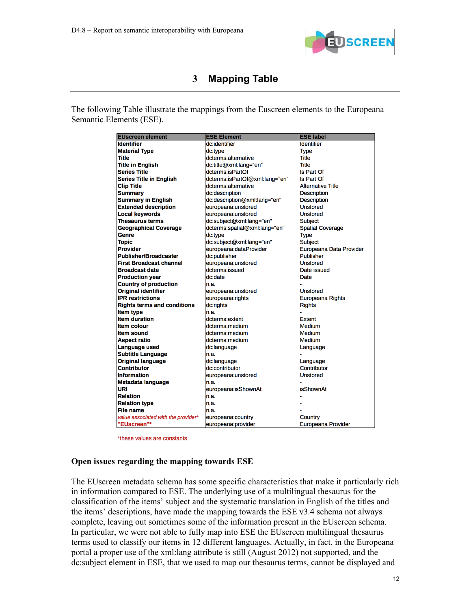

### **3 Mapping Table**

The following Table illustrate the mappings from the Euscreen elements to the Europeana Semantic Elements (ESE).

| <b>EUscreen element</b>             | <b>ESE Element</b>             | <b>ESE label</b>         |  |
|-------------------------------------|--------------------------------|--------------------------|--|
| <b>Identifier</b>                   | dc:identifier                  | <b>Identifier</b>        |  |
| <b>Material Type</b>                | dc:type                        | <b>Type</b>              |  |
| Title                               | dcterms:alternative            | <b>Title</b>             |  |
| <b>Title in English</b>             | dc:title@xml:lang="en"         | Title                    |  |
| <b>Series Title</b>                 | dcterms:isPartOf               | <b>Is Part Of</b>        |  |
| <b>Series Title in English</b>      | dcterms:isPartOf@xml:lang="en" | Is Part Of               |  |
| <b>Clip Title</b>                   | dcterms:alternative            | <b>Alternative Title</b> |  |
| <b>Summary</b>                      | dc:description                 | <b>Description</b>       |  |
| <b>Summary in English</b>           | dc:description@xml:lang="en"   | <b>Description</b>       |  |
| <b>Extended description</b>         | europeana:unstored             | <b>Unstored</b>          |  |
| <b>Local keywords</b>               | europeana:unstored             | <b>Unstored</b>          |  |
| <b>Thesaurus terms</b>              | dc:subject@xml:lang="en"       | <b>Subject</b>           |  |
| <b>Geographical Coverage</b>        | dcterms:spatial@xml:lang="en"  | <b>Spatial Coverage</b>  |  |
| Genre                               | dc:type                        | <b>Type</b>              |  |
| <b>Topic</b>                        | dc:subject@xml:lang="en"       | Subject                  |  |
| <b>Provider</b>                     | europeana:dataProvider         | Europeana Data Provider  |  |
| <b>Publisher/Broadcaster</b>        | dc:publisher                   | Publisher                |  |
| <b>First Broadcast channel</b>      | europeana:unstored             | <b>Unstored</b>          |  |
| <b>Broadcast date</b>               | dcterms:issued                 | Date issued              |  |
| <b>Production year</b>              | dc:date                        | Date                     |  |
| <b>Country of production</b>        | n.a.                           |                          |  |
| <b>Original identifier</b>          | europeana:unstored             | <b>Unstored</b>          |  |
| <b>IPR</b> restrictions             | europeana:rights               | <b>Europeana Rights</b>  |  |
| <b>Rights terms and conditions</b>  | dc:rights                      | <b>Rights</b>            |  |
| <b>Item type</b>                    | n.a.                           |                          |  |
| <b>Item duration</b>                | dcterms:extent                 | <b>Extent</b>            |  |
| <b>Item colour</b>                  | dcterms:medium                 | Medium                   |  |
| <b>Item sound</b>                   | dcterms:medium                 | Medium                   |  |
| <b>Aspect ratio</b>                 | dcterms:medium                 | Medium                   |  |
| <b>Language used</b>                | dc:language                    | Language                 |  |
| <b>Subtitle Language</b>            | n.a.                           |                          |  |
| <b>Original language</b>            | dc:language                    | Language                 |  |
| <b>Contributor</b>                  | dc:contributor                 | Contributor              |  |
| <b>Information</b>                  | europeana:unstored             | <b>Unstored</b>          |  |
| Metadata language                   | n.a.                           |                          |  |
| URI                                 | europeana:isShownAt            | <b>isShownAt</b>         |  |
| <b>Relation</b>                     | n.a.                           |                          |  |
| <b>Relation type</b>                | n.a.                           |                          |  |
| <b>File name</b>                    | n.a.                           |                          |  |
| value associated with the provider* | europeana:country              | Country                  |  |
| "EUscreen"*                         | europeana:provider             | Europeana Provider       |  |

\*these values are constants

#### **Open issues regarding the mapping towards ESE**

The EUscreen metadata schema has some specific characteristics that make it particularly rich in information compared to ESE. The underlying use of a multilingual thesaurus for the classification of the items' subject and the systematic translation in English of the titles and the items' descriptions, have made the mapping towards the ESE v3.4 schema not always complete, leaving out sometimes some of the information present in the EUscreen schema. In particular, we were not able to fully map into ESE the EUscreen multilingual thesaurus terms used to classify our items in 12 different languages. Actually, in fact, in the Europeana portal a proper use of the xml:lang attribute is still (August 2012) not supported, and the dc:subject element in ESE, that we used to map our thesaurus terms, cannot be displayed and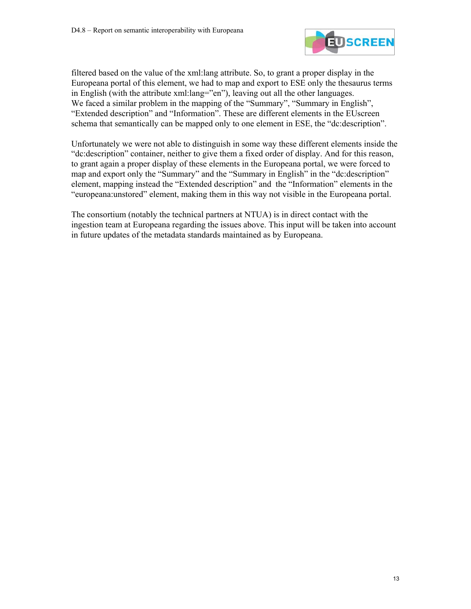

filtered based on the value of the xml:lang attribute. So, to grant a proper display in the Europeana portal of this element, we had to map and export to ESE only the thesaurus terms in English (with the attribute xml:lang="en"), leaving out all the other languages. We faced a similar problem in the mapping of the "Summary", "Summary in English", "Extended description" and "Information". These are different elements in the EUscreen schema that semantically can be mapped only to one element in ESE, the "dc:description".

Unfortunately we were not able to distinguish in some way these different elements inside the "dc:description" container, neither to give them a fixed order of display. And for this reason, to grant again a proper display of these elements in the Europeana portal, we were forced to map and export only the "Summary" and the "Summary in English" in the "dc:description" element, mapping instead the "Extended description" and the "Information" elements in the "europeana:unstored" element, making them in this way not visible in the Europeana portal.

The consortium (notably the technical partners at NTUA) is in direct contact with the ingestion team at Europeana regarding the issues above. This input will be taken into account in future updates of the metadata standards maintained as by Europeana.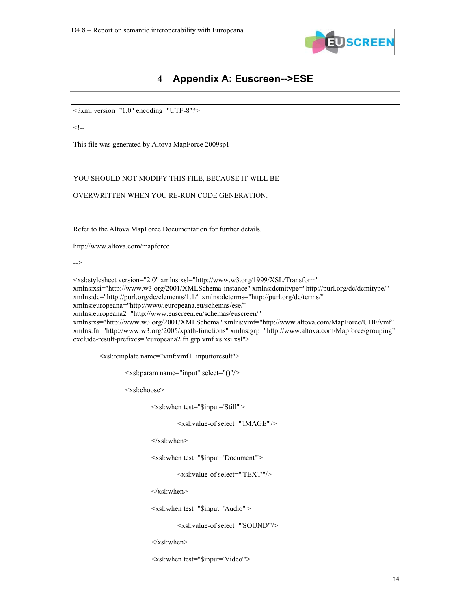

# **4 Appendix A: Euscreen-->ESE**

| xml version="1.0" encoding="UTF-8"?                                                                                                                                                                                                                                                                                                                                                                                                                                                                                                                                                                                                                                                                             |  |
|-----------------------------------------------------------------------------------------------------------------------------------------------------------------------------------------------------------------------------------------------------------------------------------------------------------------------------------------------------------------------------------------------------------------------------------------------------------------------------------------------------------------------------------------------------------------------------------------------------------------------------------------------------------------------------------------------------------------|--|
| </td><td></td></tr><tr><td>This file was generated by Altova MapForce 2009sp1</td><td></td></tr><tr><td></td><td></td></tr><tr><td>YOU SHOULD NOT MODIFY THIS FILE, BECAUSE IT WILL BE</td><td></td></tr><tr><td>OVERWRITTEN WHEN YOU RE-RUN CODE GENERATION.</td><td></td></tr><tr><td></td><td></td></tr><tr><td>Refer to the Altova MapForce Documentation for further details.</td><td></td></tr><tr><td>http://www.altova.com/mapforce</td><td></td></tr><tr><td>                                                                                                                                                                                                                                          |  |
| <xsl:stylesheet <br="" version="2.0" xmlns:xsl="http://www.w3.org/1999/XSL/Transform">xmlns:xsi="http://www.w3.org/2001/XMLSchema-instance" xmlns:dcmitype="http://purl.org/dc/dcmitype/"<br/>xmlns:dc="http://purl.org/dc/elements/1.1/" xmlns:dcterms="http://purl.org/dc/terms/"<br/>xmlns:europeana="http://www.europeana.eu/schemas/ese/"<br/>xmlns:europeana2="http://www.euscreen.eu/schemas/euscreen/"<br/>xmlns:xs="http://www.w3.org/2001/XMLSchema" xmlns:vmf="http://www.altova.com/MapForce/UDF/vmf"<br/>xmlns:fn="http://www.w3.org/2005/xpath-functions" xmlns:grp="http://www.altova.com/Mapforce/grouping"<br/>exclude-result-prefixes="europeana2 fn grp vmf xs xsi xsl"&gt;</xsl:stylesheet> |  |
| <xsl:template name="vmf:vmf1_inputtoresult"></xsl:template>                                                                                                                                                                                                                                                                                                                                                                                                                                                                                                                                                                                                                                                     |  |
| <xsl:param name="input" select="()"></xsl:param>                                                                                                                                                                                                                                                                                                                                                                                                                                                                                                                                                                                                                                                                |  |
| <xsl:choose></xsl:choose>                                                                                                                                                                                                                                                                                                                                                                                                                                                                                                                                                                                                                                                                                       |  |
| <xsl:when '="" test="\$input='Still"></xsl:when>                                                                                                                                                                                                                                                                                                                                                                                                                                                                                                                                                                                                                                                                |  |
| <xsl:value-of select="'IMAGE'"></xsl:value-of>                                                                                                                                                                                                                                                                                                                                                                                                                                                                                                                                                                                                                                                                  |  |
| $\langle xsl:when \rangle$                                                                                                                                                                                                                                                                                                                                                                                                                                                                                                                                                                                                                                                                                      |  |
| <xsl:when test="\$input='Document"></xsl:when>                                                                                                                                                                                                                                                                                                                                                                                                                                                                                                                                                                                                                                                                  |  |
| <xsl:value-of select="'TEXT'"></xsl:value-of>                                                                                                                                                                                                                                                                                                                                                                                                                                                                                                                                                                                                                                                                   |  |
| $\langle xsl:when\rangle$                                                                                                                                                                                                                                                                                                                                                                                                                                                                                                                                                                                                                                                                                       |  |
| <xsl:when test="\$input='Audio'"></xsl:when>                                                                                                                                                                                                                                                                                                                                                                                                                                                                                                                                                                                                                                                                    |  |
| <xsl:value-of '="" select="'SOUND"></xsl:value-of>                                                                                                                                                                                                                                                                                                                                                                                                                                                                                                                                                                                                                                                              |  |
| $\langle xsl:when\rangle$                                                                                                                                                                                                                                                                                                                                                                                                                                                                                                                                                                                                                                                                                       |  |
| <xsl:when test="\$input='Video'"></xsl:when>                                                                                                                                                                                                                                                                                                                                                                                                                                                                                                                                                                                                                                                                    |  |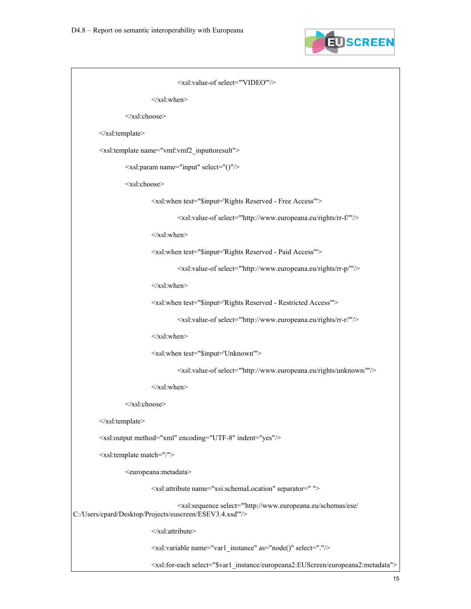

```
 <xsl:value-of select="'VIDEO'"/> 
                           \langle xsl:when\rangle </xsl:choose> 
          </xsl:template> 
          <xsl:template name="vmf:vmf2_inputtoresult"> 
                   <xsl:param name="input" select="()"/> 
                   <xsl:choose> 
                            <xsl:when test="$input='Rights Reserved - Free Access'"> 
                                      <xsl:value-of select="'http://www.europeana.eu/rights/rr-f/'"/> 
                           \langle xsl:when\rangle <xsl:when test="$input='Rights Reserved - Paid Access'"> 
                                      <xsl:value-of select="'http://www.europeana.eu/rights/rr-p/'"/> 
                           \langle xsl:when\rangle <xsl:when test="$input='Rights Reserved - Restricted Access'"> 
                                      <xsl:value-of select="'http://www.europeana.eu/rights/rr-r/'"/> 
                           \langle xsl:when\rangle <xsl:when test="$input='Unknown'"> 
                                      <xsl:value-of select="'http://www.europeana.eu/rights/unknown/'"/> 
                           \langle xsl:when\rangle </xsl:choose> 
          </xsl:template> 
          <xsl:output method="xml" encoding="UTF-8" indent="yes"/> 
          <xsl:template match="/"> 
                   <europeana:metadata> 
                            <xsl:attribute name="xsi:schemaLocation" separator=" "> 
                                      <xsl:sequence select="'http://www.europeana.eu/schemas/ese/ 
C:/Users/cpard/Desktop/Projects/euscreen/ESEV3.4.xsd'"/> 
                            </xsl:attribute> 
                            <xsl:variable name="var1_instance" as="node()" select="."/> 
                            <xsl:for-each select="$var1_instance/europeana2:EUScreen/europeana2:metadata">
```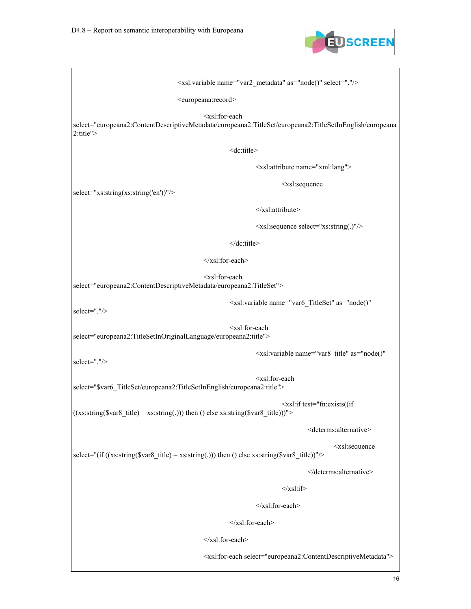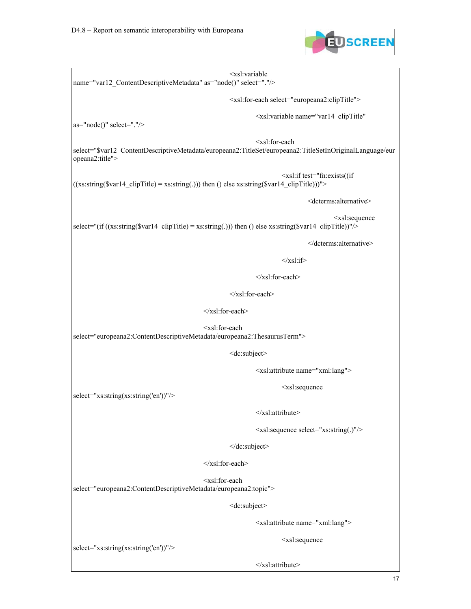

 <xsl:variable name="var12\_ContentDescriptiveMetadata" as="node()" select="."/> <xsl:for-each select="europeana2:clipTitle"> <xsl:variable name="var14\_clipTitle" as="node()" select="."/> <xsl:for-each select="\$var12\_ContentDescriptiveMetadata/europeana2:TitleSet/europeana2:TitleSetInOriginalLanguage/eur opeana2:title"> <xsl:if test="fn:exists((if  $((x s: string(Svar14_clipTitle) = x s: string(.)))$  then () else  $x s: string(Svar14_clipTitle)))$ "> <dcterms:alternative> <xsl:sequence select="(if  $((xs:string(Svar14 \text{ clip}Title) = xs:string(.)))$  then () else xs:string(\$var14 clipTitle))"/> </dcterms:alternative>  $\langle xsl:$ if $\rangle$  </xsl:for-each>  $\langle xsl:$ for-each $>$  </xsl:for-each> <xsl:for-each select="europeana2:ContentDescriptiveMetadata/europeana2:ThesaurusTerm"> <dc:subject> <xsl:attribute name="xml:lang"> <xsl:sequence select="xs:string(xs:string('en'))"/> </xsl:attribute> <xsl:sequence select="xs:string(.)"/> </dc:subject> </xsl:for-each> <xsl:for-each select="europeana2:ContentDescriptiveMetadata/europeana2:topic"> <dc:subject> <xsl:attribute name="xml:lang"> <xsl:sequence select="xs:string(xs:string('en'))"/>

</xsl:attribute>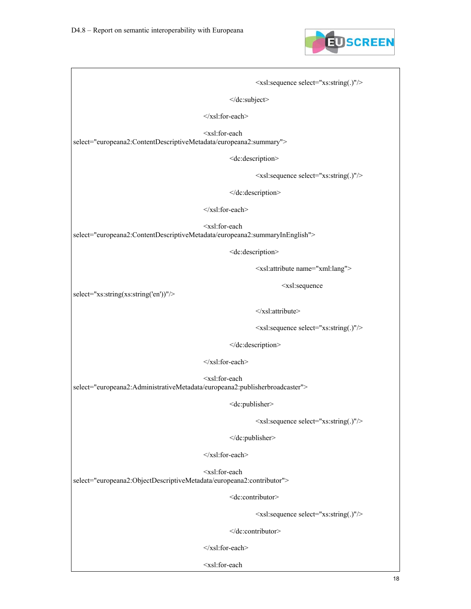

 <xsl:sequence select="xs:string(.)"/> </dc:subject>  $\le$ /xsl:for-each> <xsl:for-each select="europeana2:ContentDescriptiveMetadata/europeana2:summary"> <dc:description> <xsl:sequence select="xs:string(.)"/> </dc:description> </xsl:for-each> <xsl:for-each select="europeana2:ContentDescriptiveMetadata/europeana2:summaryInEnglish"> <dc:description> <xsl:attribute name="xml:lang"> <xsl:sequence select="xs:string(xs:string('en'))"/> </xsl:attribute> <xsl:sequence select="xs:string(.)"/> </dc:description> </xsl:for-each> <xsl:for-each select="europeana2:AdministrativeMetadata/europeana2:publisherbroadcaster"> <dc:publisher> <xsl:sequence select="xs:string(.)"/> </dc:publisher> </xsl:for-each> <xsl:for-each select="europeana2:ObjectDescriptiveMetadata/europeana2:contributor"> <dc:contributor> <xsl:sequence select="xs:string(.)"/> </dc:contributor> </xsl:for-each> <xsl:for-each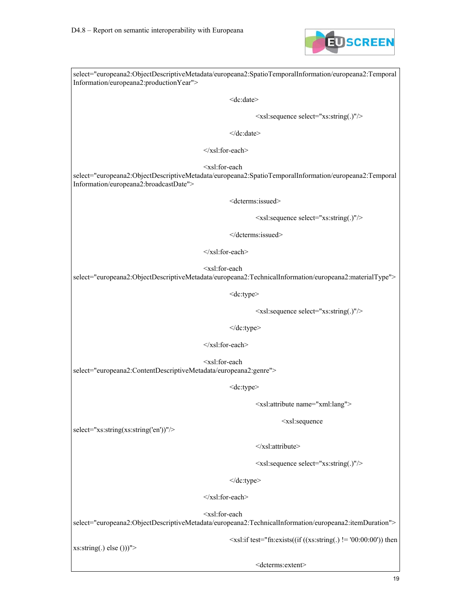

select="europeana2:ObjectDescriptiveMetadata/europeana2:SpatioTemporalInformation/europeana2:Temporal Information/europeana2:productionYear"> <dc:date> <xsl:sequence select="xs:string(.)"/> </dc:date> </xsl:for-each> <xsl:for-each select="europeana2:ObjectDescriptiveMetadata/europeana2:SpatioTemporalInformation/europeana2:Temporal Information/europeana2:broadcastDate"> <dcterms:issued> <xsl:sequence select="xs:string(.)"/> </dcterms:issued> </xsl:for-each> <xsl:for-each select="europeana2:ObjectDescriptiveMetadata/europeana2:TechnicalInformation/europeana2:materialType"> <dc:type> <xsl:sequence select="xs:string(.)"/> </dc:type>  $\langle xsl:$ for-each $>$  <xsl:for-each select="europeana2:ContentDescriptiveMetadata/europeana2:genre"> <dc:type> <xsl:attribute name="xml:lang"> <xsl:sequence select="xs:string(xs:string('en'))"/> </xsl:attribute> <xsl:sequence select="xs:string(.)"/> </dc:type> </xsl:for-each> <xsl:for-each select="europeana2:ObjectDescriptiveMetadata/europeana2:TechnicalInformation/europeana2:itemDuration">  $\langle xsl:if test="fn:exists((if ((xs:string).)= '00:00:00'))$  then

xs:string(.) else ()))">

<dcterms:extent>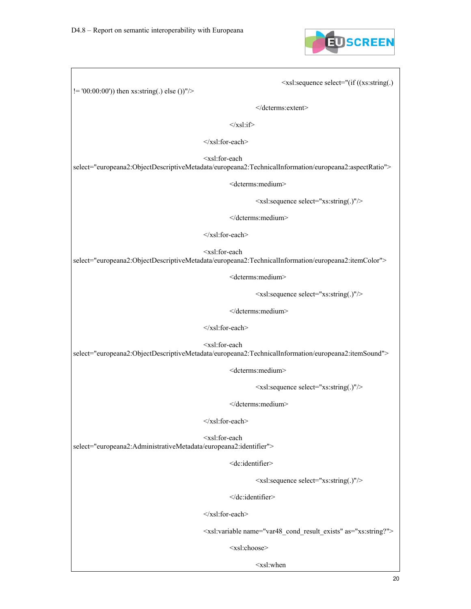

<xsl:sequence select="(if ((xs:string(.)

!= '00:00:00')) then xs:string(.) else ())"/>

</dcterms:extent>

 $\langle xsl:if \rangle$ 

</xsl:for-each>

<xsl:for-each

select="europeana2:ObjectDescriptiveMetadata/europeana2:TechnicalInformation/europeana2:aspectRatio">

<dcterms:medium>

<xsl:sequence select="xs:string(.)"/>

</dcterms:medium>

</xsl:for-each>

<xsl:for-each

select="europeana2:ObjectDescriptiveMetadata/europeana2:TechnicalInformation/europeana2:itemColor">

<dcterms:medium>

<xsl:sequence select="xs:string(.)"/>

</dcterms:medium>

</xsl:for-each>

<xsl:for-each

select="europeana2:ObjectDescriptiveMetadata/europeana2:TechnicalInformation/europeana2:itemSound">

<dcterms:medium>

<xsl:sequence select="xs:string(.)"/>

</dcterms:medium>

 $\langle xsl:$ for-each $>$ 

 <xsl:for-each select="europeana2:AdministrativeMetadata/europeana2:identifier">

<dc:identifier>

<xsl:sequence select="xs:string(.)"/>

</dc:identifier>

</xsl:for-each>

<xsl:variable name="var48\_cond\_result\_exists" as="xs:string?">

<xsl:choose>

<xsl:when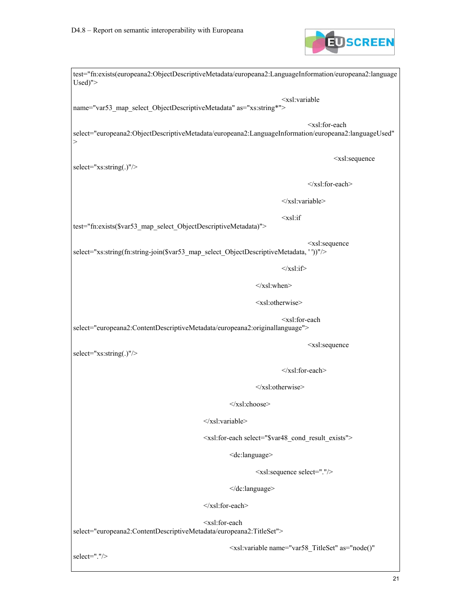

test="fn:exists(europeana2:ObjectDescriptiveMetadata/europeana2:LanguageInformation/europeana2:language Used)"> <xsl:variable name="var53\_map\_select\_ObjectDescriptiveMetadata" as="xs:string\*"> <xsl:for-each select="europeana2:ObjectDescriptiveMetadata/europeana2:LanguageInformation/europeana2:languageUsed"  $>$  <xsl:sequence select="xs:string(.)"/> </xsl:for-each> </xsl:variable>  $\langle x s l : i f$ test="fn:exists(\$var53\_map\_select\_ObjectDescriptiveMetadata)"> <xsl:sequence select="xs:string(fn:string-join(\$var53\_map\_select\_ObjectDescriptiveMetadata, ''))"/>  $\langle xsl:$ if $\rangle$  $\langle xsl:when\rangle$  <xsl:otherwise> <xsl:for-each select="europeana2:ContentDescriptiveMetadata/europeana2:originallanguage"> <xsl:sequence select="xs:string(.)"/>  $\langle xsl:$ for-each $>$  $\le$ /xsl:otherwise> </xsl:choose>  $\langle xsl:variable \rangle$  <xsl:for-each select="\$var48\_cond\_result\_exists"> <dc:language> <xsl:sequence select="."/> </dc:language> </xsl:for-each> <xsl:for-each select="europeana2:ContentDescriptiveMetadata/europeana2:TitleSet"> <xsl:variable name="var58\_TitleSet" as="node()" select="."/>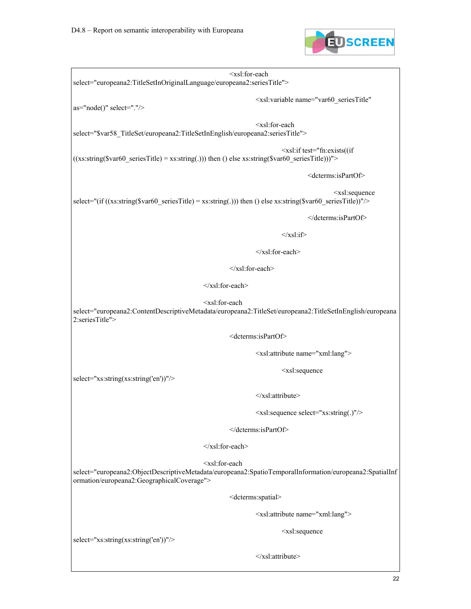

 <xsl:for-each select="europeana2:TitleSetInOriginalLanguage/europeana2:seriesTitle"> <xsl:variable name="var60\_seriesTitle" as="node()" select="."/> <xsl:for-each select="\$var58\_TitleSet/europeana2:TitleSetInEnglish/europeana2:seriesTitle"> <xsl:if test="fn:exists((if  $((x s: string($var60) seriesTitle) = x s: string(.))$  then () else  $x s: string($var60) seriesTitle))$ "> <dcterms:isPartOf> <xsl:sequence select="(if ((xs:string(\$var60\_seriesTitle) = xs:string(.))) then () else xs:string(\$var60\_seriesTitle))"/> </dcterms:isPartOf>  $\langle xsl:$ if $\rangle$  </xsl:for-each> </xsl:for-each> </xsl:for-each> <xsl:for-each select="europeana2:ContentDescriptiveMetadata/europeana2:TitleSet/europeana2:TitleSetInEnglish/europeana 2:seriesTitle"> <dcterms:isPartOf> <xsl:attribute name="xml:lang"> <xsl:sequence select="xs:string(xs:string('en'))"/> </xsl:attribute> <xsl:sequence select="xs:string(.)"/> </dcterms:isPartOf>  $\langle xsl:$ for-each $>$  <xsl:for-each select="europeana2:ObjectDescriptiveMetadata/europeana2:SpatioTemporalInformation/europeana2:SpatialInf ormation/europeana2:GeographicalCoverage"> <dcterms:spatial> <xsl:attribute name="xml:lang"> <xsl:sequence select="xs:string(xs:string('en'))"/> </xsl:attribute>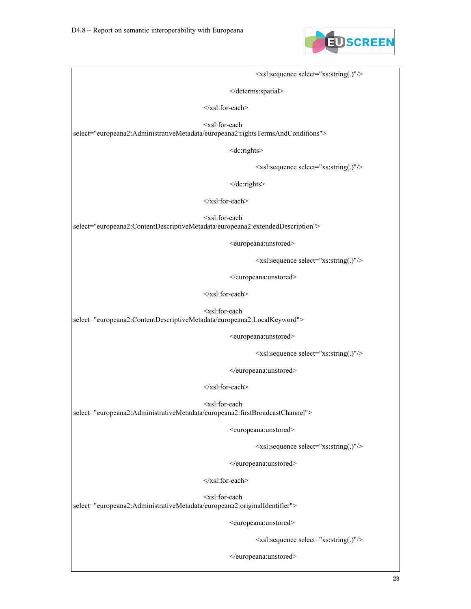

 <xsl:sequence select="xs:string(.)"/> </dcterms:spatial> </xsl:for-each> <xsl:for-each select="europeana2:AdministrativeMetadata/europeana2:rightsTermsAndConditions"> <dc:rights> <xsl:sequence select="xs:string(.)"/> </dc:rights> </xsl:for-each> <xsl:for-each select="europeana2:ContentDescriptiveMetadata/europeana2:extendedDescription"> <europeana:unstored> <xsl:sequence select="xs:string(.)"/> </europeana:unstored> </xsl:for-each> <xsl:for-each select="europeana2:ContentDescriptiveMetadata/europeana2:LocalKeyword"> <europeana:unstored> <xsl:sequence select="xs:string(.)"/> </europeana:unstored>

 <xsl:for-each select="europeana2:AdministrativeMetadata/europeana2:firstBroadcastChannel">

<europeana:unstored>

<xsl:sequence select="xs:string(.)"/>

</europeana:unstored>

</xsl:for-each>

</xsl:for-each>

 <xsl:for-each select="europeana2:AdministrativeMetadata/europeana2:originalIdentifier">

<europeana:unstored>

<xsl:sequence select="xs:string(.)"/>

</europeana:unstored>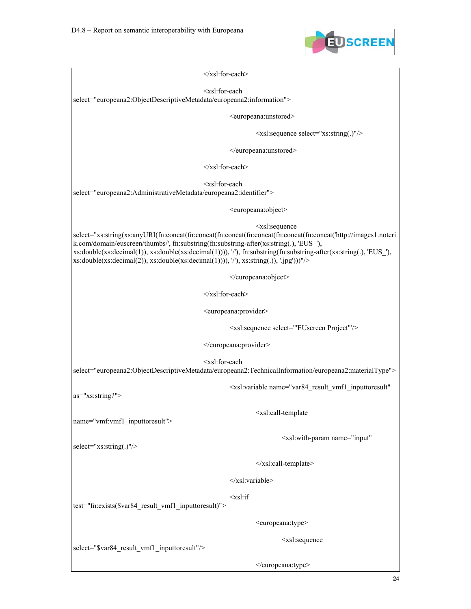

 $\le$ /xsl:for-each>

<xsl:for-each

select="europeana2:ObjectDescriptiveMetadata/europeana2:information">

<europeana:unstored>

<xsl:sequence select="xs:string(.)"/>

</europeana:unstored>

 $\langle xsl$  for-each  $>$ 

 <xsl:for-each select="europeana2:AdministrativeMetadata/europeana2:identifier">

<europeana:object>

<xsl:sequence

select="xs:string(xs:anyURI(fn:concat(fn:concat(fn:concat(fn:concat(fn:concat(fn:concat('http://images1.noteri k.com/domain/euscreen/thumbs/', fn:substring(fn:substring-after(xs:string(.), 'EUS\_'), xs:double(xs:decimal(1)), xs:double(xs:decimal(1)))), '/'), fn:substring(fn:substring-after(xs:string(.), 'EUS\_'),  $xs: double(xs:decimal(2)), xs:double(xs:decimal(1))), \n'$ ,  $xs:string(.), \n'.jpg'))''$ 

</europeana:object>

 $\langle xsl:$ for-each $>$ 

<europeana:provider>

<xsl:sequence select="'EUscreen Project'"/>

</europeana:provider>

<xsl:for-each

select="europeana2:ObjectDescriptiveMetadata/europeana2:TechnicalInformation/europeana2:materialType">

<xsl:variable name="var84\_result\_vmf1\_inputtoresult"

as="xs:string?">

<xsl:call-template

name="vmf:vmf1\_inputtoresult">

<xsl:with-param name="input"

select="xs:string(.)"/>

</xsl:call-template>

</xsl:variable>

<xsl:if

test="fn:exists(\$var84\_result\_vmf1\_inputtoresult)">

<europeana:type>

<xsl:sequence

select="\$var84\_result\_vmf1\_inputtoresult"/>

</europeana:type>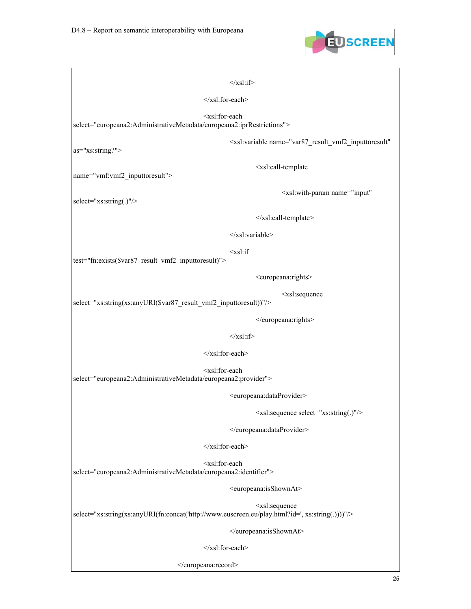

| $\langle xsl:if \rangle$                                                                                     |                                                                                 |
|--------------------------------------------------------------------------------------------------------------|---------------------------------------------------------------------------------|
| $\le$ /xsl:for-each>                                                                                         |                                                                                 |
| <xsl:for-each<br>select="europeana2:AdministrativeMetadata/europeana2:iprRestrictions"&gt;</xsl:for-each<br> |                                                                                 |
| as="xs:string?">                                                                                             | <xsl:variable <="" name="var87_result_vmf2_inputtoresult" td=""></xsl:variable> |
| name="vmf:vmf2 inputtoresult">                                                                               | <xsl:call-template< td=""></xsl:call-template<>                                 |
| select="xs:string(.)"/>                                                                                      | <xsl:with-param <="" name="input" td=""></xsl:with-param>                       |
|                                                                                                              |                                                                                 |
|                                                                                                              | $\langle xsl:variable \rangle$                                                  |
| $<$ xsl:if<br>test="fn:exists(\$var87_result_vmf2_inputtoresult)">                                           |                                                                                 |
|                                                                                                              | <europeana:rights></europeana:rights>                                           |
| select="xs:string(xs:anyURI(\$var87_result_vmf2_inputtoresult))"/>                                           | <xsl:sequence< td=""></xsl:sequence<>                                           |
|                                                                                                              |                                                                                 |
| $\langle xsl:if \rangle$                                                                                     |                                                                                 |
| $\le$ /xsl:for-each>                                                                                         |                                                                                 |
| <xsl:for-each<br>select="europeana2:AdministrativeMetadata/europeana2:provider"&gt;</xsl:for-each<br>        |                                                                                 |
|                                                                                                              | <europeana:dataprovider></europeana:dataprovider>                               |
|                                                                                                              | <xsl:sequence select="xs:string(.)"></xsl:sequence>                             |
|                                                                                                              |                                                                                 |
| $\le$ /xsl:for-each>                                                                                         |                                                                                 |
| <xsl:for-each<br>select="europeana2:AdministrativeMetadata/europeana2:identifier"&gt;</xsl:for-each<br>      |                                                                                 |
|                                                                                                              | <europeana:isshownat></europeana:isshownat>                                     |
| select="xs:string(xs:anyURI(fn:concat('http://www.euscreen.eu/play.html?id=', xs:string(.))))"/>             | <xsl:sequence< td=""></xsl:sequence<>                                           |
|                                                                                                              |                                                                                 |
| $\le$ /xsl:for-each>                                                                                         |                                                                                 |
|                                                                                                              |                                                                                 |